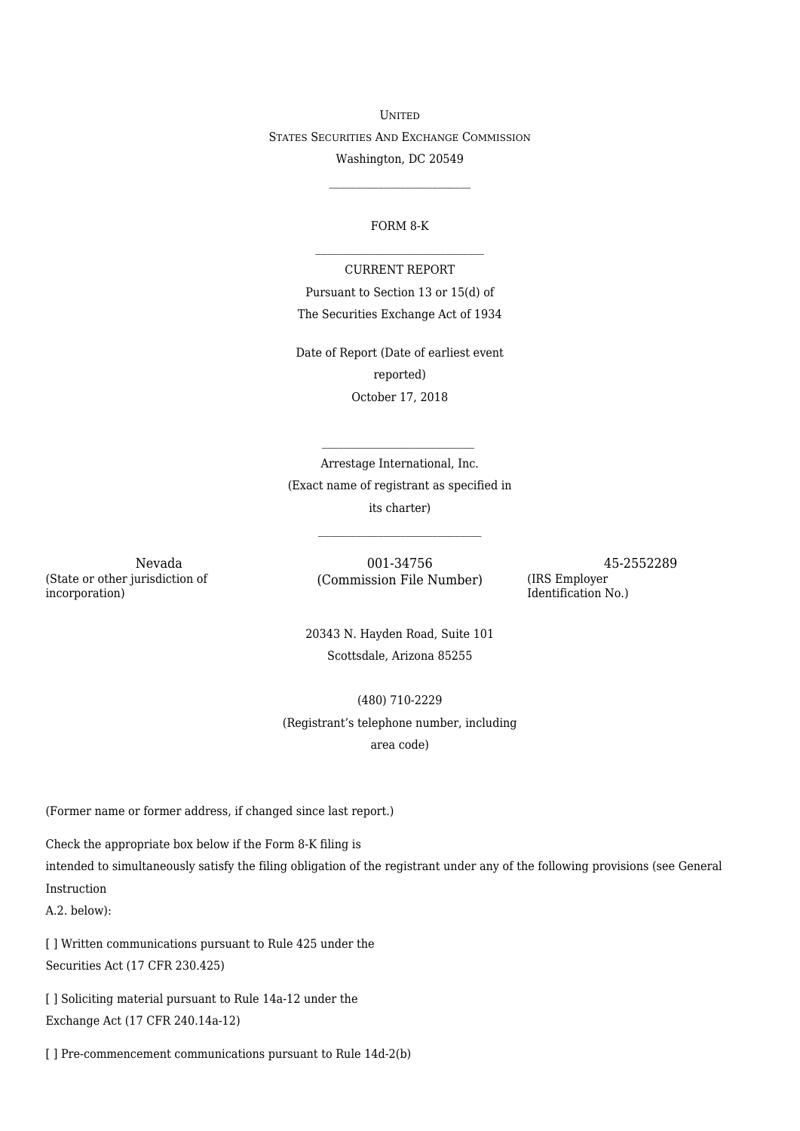UNITED STATES SECURITIES AND EXCHANGE COMMISSION Washington, DC 20549

## FORM 8-K  $\mathcal{L}=\mathcal{L}^{\mathcal{L}}$  , where  $\mathcal{L}^{\mathcal{L}}$  , we have the set of the set of the set of the set of the set of the set of the set of the set of the set of the set of the set of the set of the set of the set of the set of

 $\mathcal{L}_\text{max}$ 

CURRENT REPORT Pursuant to Section 13 or 15(d) of The Securities Exchange Act of 1934

Date of Report (Date of earliest event reported) October 17, 2018

Arrestage International, Inc. (Exact name of registrant as specified in its charter)

(State or other jurisdiction of incorporation)

Nevada  $001-34756$  (Commission File Number) 45-2552289<br>(IRS Employer (Commission File Number)

Identification No.)

20343 N. Hayden Road, Suite 101 Scottsdale, Arizona 85255

(480) 710-2229 (Registrant's telephone number, including area code)

(Former name or former address, if changed since last report.)

Check the appropriate box below if the Form 8-K filing is

intended to simultaneously satisfy the filing obligation of the registrant under any of the following provisions (see General Instruction

A.2. below):

[] Written communications pursuant to Rule 425 under the Securities Act (17 CFR 230.425)

[] Soliciting material pursuant to Rule 14a-12 under the Exchange Act (17 CFR 240.14a-12)

[ ] Pre-commencement communications pursuant to Rule 14d-2(b)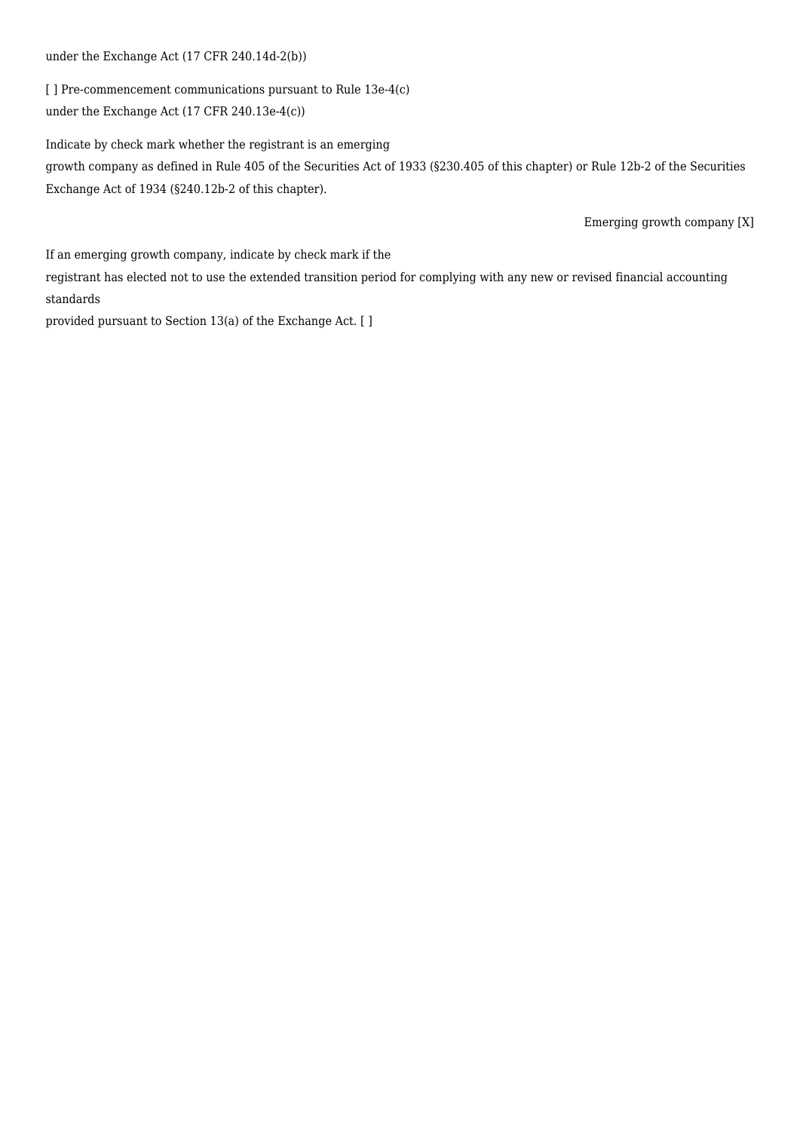## under the Exchange Act (17 CFR 240.14d-2(b))

[ ] Pre-commencement communications pursuant to Rule 13e-4(c) under the Exchange Act (17 CFR 240.13e-4(c))

Indicate by check mark whether the registrant is an emerging growth company as defined in Rule 405 of the Securities Act of 1933 (§230.405 of this chapter) or Rule 12b-2 of the Securities Exchange Act of 1934 (§240.12b-2 of this chapter).

Emerging growth company [X]

If an emerging growth company, indicate by check mark if the

registrant has elected not to use the extended transition period for complying with any new or revised financial accounting standards

provided pursuant to Section 13(a) of the Exchange Act. [ ]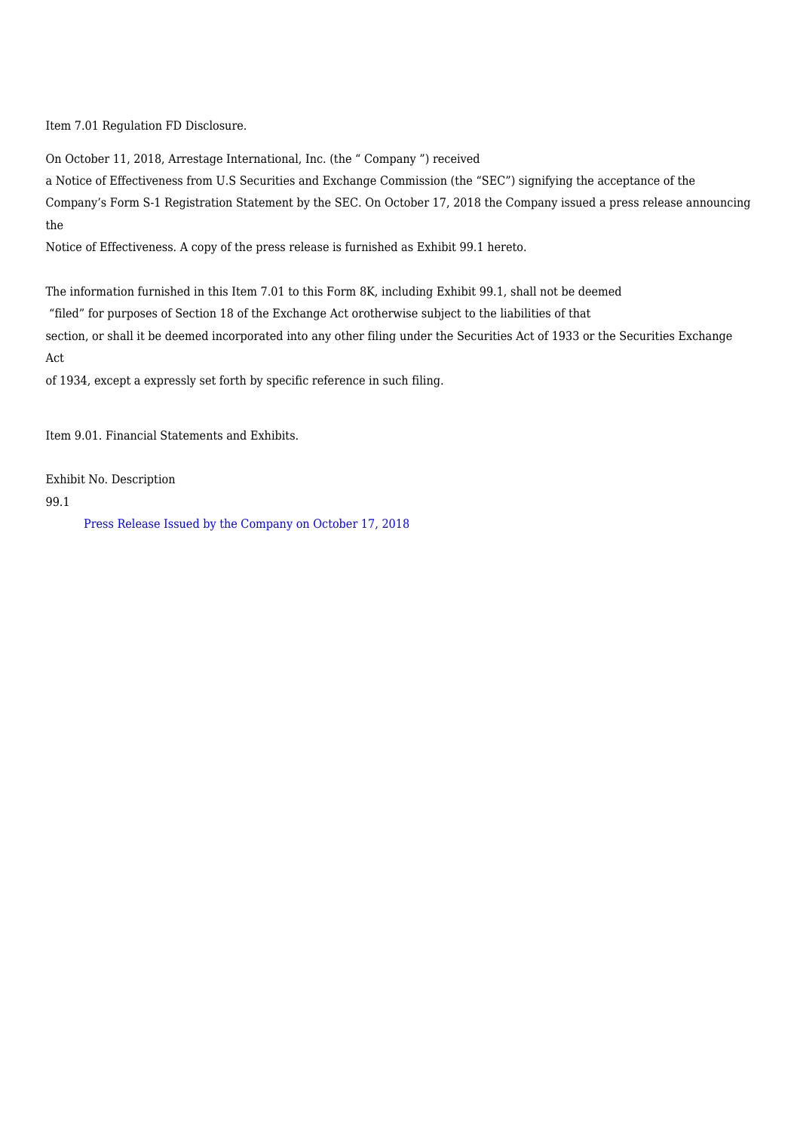Item 7.01 Regulation FD Disclosure.

On October 11, 2018, Arrestage International, Inc. (the " Company ") received

a Notice of Effectiveness from U.S Securities and Exchange Commission (the "SEC") signifying the acceptance of the Company's Form S-1 Registration Statement by the SEC. On October 17, 2018 the Company issued a press release announcing the

Notice of Effectiveness. A copy of the press release is furnished as Exhibit 99.1 hereto.

The information furnished in this Item 7.01 to this Form 8K, including Exhibit 99.1, shall not be deemed

"filed" for purposes of Section 18 of the Exchange Act orotherwise subject to the liabilities of that

section, or shall it be deemed incorporated into any other filing under the Securities Act of 1933 or the Securities Exchange Act

of 1934, except a expressly set forth by specific reference in such filing.

Item 9.01. Financial Statements and Exhibits.

Exhibit No. Description

99.1

[Press Release Issued by the Company on October 17, 2018](https://arrestageinternational.com/f8k101718ex99-1_arrestage.htm)